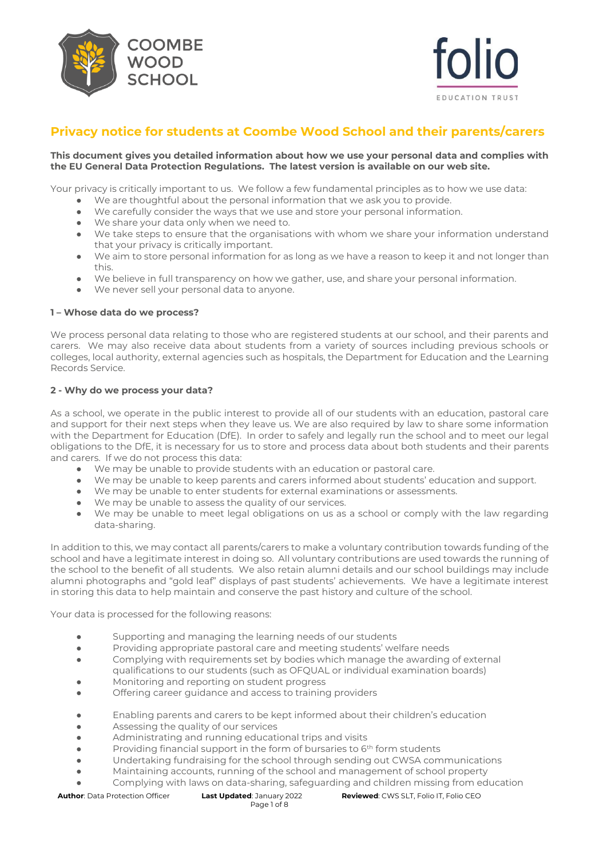



# **Privacy notice for students at Coombe Wood School and their parents/carers**

#### **This document gives you detailed information about how we use your personal data and complies with the EU General Data Protection Regulations. The latest version is available on our web site.**

Your privacy is critically important to us. We follow a few fundamental principles as to how we use data:

- We are thoughtful about the personal information that we ask you to provide.
- We carefully consider the ways that we use and store your personal information.
- We share your data only when we need to.
- We take steps to ensure that the organisations with whom we share your information understand that your privacy is critically important.
- We aim to store personal information for as long as we have a reason to keep it and not longer than this.
- We believe in full transparency on how we gather, use, and share your personal information.
- We never sell your personal data to anyone.

## **1 – Whose data do we process?**

We process personal data relating to those who are registered students at our school, and their parents and carers. We may also receive data about students from a variety of sources including previous schools or colleges, local authority, external agencies such as hospitals, the Department for Education and the Learning Records Service.

## **2 - Why do we process your data?**

As a school, we operate in the public interest to provide all of our students with an education, pastoral care and support for their next steps when they leave us. We are also required by law to share some information with the Department for Education (DfE). In order to safely and legally run the school and to meet our legal obligations to the DfE, it is necessary for us to store and process data about both students and their parents and carers. If we do not process this data:

- We may be unable to provide students with an education or pastoral care.
- We may be unable to keep parents and carers informed about students' education and support.
- We may be unable to enter students for external examinations or assessments.
- We may be unable to assess the quality of our services.
- We may be unable to meet legal obligations on us as a school or comply with the law regarding data-sharing.

In addition to this, we may contact all parents/carers to make a voluntary contribution towards funding of the school and have a legitimate interest in doing so. All voluntary contributions are used towards the running of the school to the benefit of all students. We also retain alumni details and our school buildings may include alumni photographs and "gold leaf" displays of past students' achievements. We have a legitimate interest in storing this data to help maintain and conserve the past history and culture of the school.

Your data is processed for the following reasons:

- Supporting and managing the learning needs of our students
- Providing appropriate pastoral care and meeting students' welfare needs
- Complying with requirements set by bodies which manage the awarding of external qualifications to our students (such as OFQUAL or individual examination boards)
- Monitoring and reporting on student progress
- Offering career guidance and access to training providers
- Enabling parents and carers to be kept informed about their children's education
- Assessing the quality of our services
- Administrating and running educational trips and visits
- Providing financial support in the form of bursaries to 6<sup>th</sup> form students
- Undertaking fundraising for the school through sending out CWSA communications
- Maintaining accounts, running of the school and management of school property
	- Complying with laws on data-sharing, safeguarding and children missing from education

Page 1 of 8

**Author**: Data Protection Officer **Last Updated**: January 2022 **Reviewed**: CWS SLT, Folio IT, Folio CEO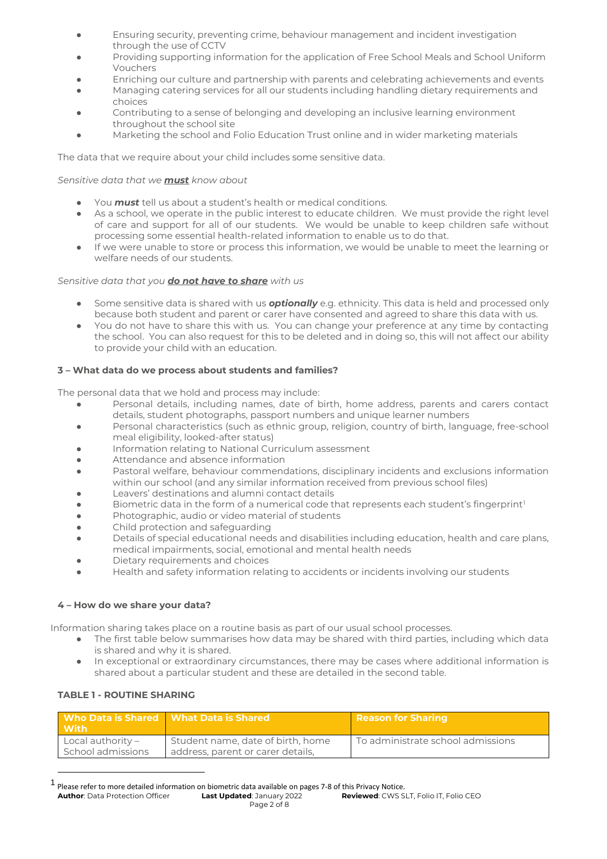- Ensuring security, preventing crime, behaviour management and incident investigation through the use of CCTV
- Providing supporting information for the application of Free School Meals and School Uniform Vouchers
- Enriching our culture and partnership with parents and celebrating achievements and events
- Managing catering services for all our students including handling dietary requirements and choices
- Contributing to a sense of belonging and developing an inclusive learning environment throughout the school site
- Marketing the school and Folio Education Trust online and in wider marketing materials

The data that we require about your child includes some sensitive data.

*Sensitive data that we must know about*

- You **must** tell us about a student's health or medical conditions.
- As a school, we operate in the public interest to educate children. We must provide the right level of care and support for all of our students. We would be unable to keep children safe without processing some essential health-related information to enable us to do that.
- If we were unable to store or process this information, we would be unable to meet the learning or welfare needs of our students.

## *Sensitive data that you do not have to share with us*

- Some sensitive data is shared with us **optionally** e.g. ethnicity. This data is held and processed only because both student and parent or carer have consented and agreed to share this data with us.
- You do not have to share this with us. You can change your preference at any time by contacting the school. You can also request for this to be deleted and in doing so, this will not affect our ability to provide your child with an education.

## **3 – What data do we process about students and families?**

The personal data that we hold and process may include:

- Personal details, including names, date of birth, home address, parents and carers contact details, student photographs, passport numbers and unique learner numbers
- Personal characteristics (such as ethnic group, religion, country of birth, language, free-school meal eligibility, looked-after status)
- Information relating to National Curriculum assessment
- Attendance and absence information
- Pastoral welfare, behaviour commendations, disciplinary incidents and exclusions information within our school (and any similar information received from previous school files)
- Leavers' destinations and alumni contact details
- **•** Biometric data in the form of a numerical code that represents each student's fingerprint<sup>1</sup>
- Photographic, audio or video material of students
- Child protection and safeguarding
- Details of special educational needs and disabilities including education, health and care plans, medical impairments, social, emotional and mental health needs
- Dietary requirements and choices
- Health and safety information relating to accidents or incidents involving our students

## **4 – How do we share your data?**

Information sharing takes place on a routine basis as part of our usual school processes.

- The first table below summarises how data may be shared with third parties, including which data is shared and why it is shared.
- In exceptional or extraordinary circumstances, there may be cases where additional information is shared about a particular student and these are detailed in the second table.

| Who Data is Shared Nhat Data is Shared<br>$\blacksquare$ With $\blacksquare$ |                                                                        | Reason for Sharing                |
|------------------------------------------------------------------------------|------------------------------------------------------------------------|-----------------------------------|
| Local authority $-$<br>School admissions                                     | Student name, date of birth, home<br>address, parent or carer details, | To administrate school admissions |

### **TABLE 1 - ROUTINE SHARING**

<sup>1</sup> Please refer to more detailed information on biometric data available on pages 7-8 of this Privacy Notice.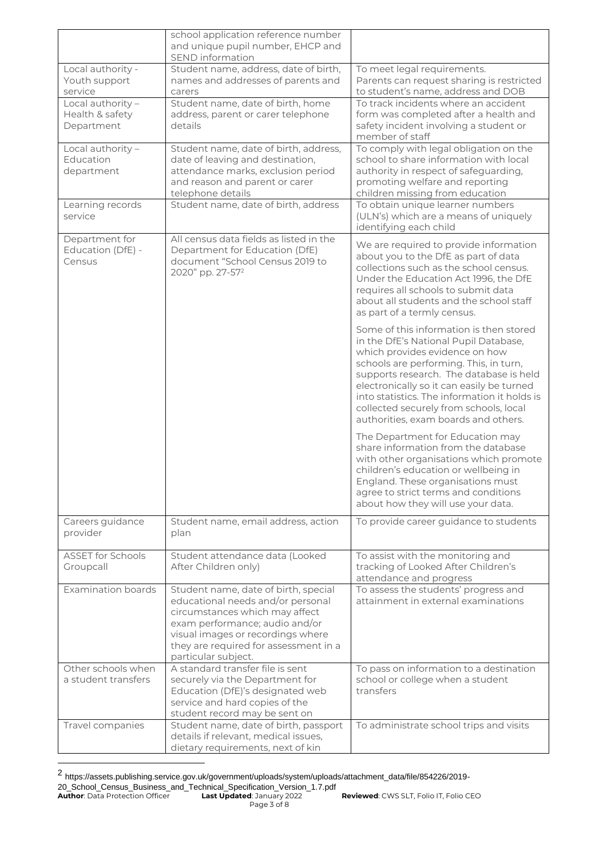|                                    | school application reference number<br>and unique pupil number, EHCP and<br>SEND information |                                                                                |
|------------------------------------|----------------------------------------------------------------------------------------------|--------------------------------------------------------------------------------|
| Local authority -<br>Youth support | Student name, address, date of birth,<br>names and addresses of parents and                  | To meet legal requirements.<br>Parents can request sharing is restricted       |
| service                            | carers                                                                                       | to student's name, address and DOB                                             |
| Local authority -                  | Student name, date of birth, home                                                            | To track incidents where an accident                                           |
| Health & safety                    | address, parent or carer telephone                                                           | form was completed after a health and                                          |
| Department                         | details                                                                                      | safety incident involving a student or<br>member of staff                      |
| Local authority -                  | Student name, date of birth, address,                                                        | To comply with legal obligation on the                                         |
| Education                          | date of leaving and destination,                                                             | school to share information with local                                         |
| department                         | attendance marks, exclusion period<br>and reason and parent or carer                         | authority in respect of safeguarding,<br>promoting welfare and reporting       |
|                                    | telephone details                                                                            | children missing from education                                                |
| Learning records                   | Student name, date of birth, address                                                         | To obtain unique learner numbers                                               |
| service                            |                                                                                              | (ULN's) which are a means of uniquely<br>identifying each child                |
| Department for                     | All census data fields as listed in the                                                      |                                                                                |
| Education (DfE) -                  | Department for Education (DfE)                                                               | We are required to provide information<br>about you to the DfE as part of data |
| Census                             | document "School Census 2019 to                                                              | collections such as the school census.                                         |
|                                    | 2020" pp. 27-57 <sup>2</sup>                                                                 | Under the Education Act 1996, the DfE                                          |
|                                    |                                                                                              | requires all schools to submit data                                            |
|                                    |                                                                                              | about all students and the school staff                                        |
|                                    |                                                                                              | as part of a termly census.                                                    |
|                                    |                                                                                              | Some of this information is then stored                                        |
|                                    |                                                                                              | in the DfE's National Pupil Database,<br>which provides evidence on how        |
|                                    |                                                                                              | schools are performing. This, in turn,                                         |
|                                    |                                                                                              | supports research. The database is held                                        |
|                                    |                                                                                              | electronically so it can easily be turned                                      |
|                                    |                                                                                              | into statistics. The information it holds is                                   |
|                                    |                                                                                              | collected securely from schools, local<br>authorities, exam boards and others. |
|                                    |                                                                                              | The Department for Education may                                               |
|                                    |                                                                                              | share information from the database                                            |
|                                    |                                                                                              | with other organisations which promote                                         |
|                                    |                                                                                              | children's education or wellbeing in<br>England. These organisations must      |
|                                    |                                                                                              | agree to strict terms and conditions                                           |
|                                    |                                                                                              | about how they will use your data.                                             |
| Careers guidance                   | Student name, email address, action                                                          | To provide career guidance to students                                         |
| provider                           | plan                                                                                         |                                                                                |
| <b>ASSET for Schools</b>           | Student attendance data (Looked                                                              | To assist with the monitoring and                                              |
| Groupcall                          | After Children only)                                                                         | tracking of Looked After Children's                                            |
|                                    |                                                                                              | attendance and progress                                                        |
| <b>Examination boards</b>          | Student name, date of birth, special<br>educational needs and/or personal                    | To assess the students' progress and<br>attainment in external examinations    |
|                                    | circumstances which may affect                                                               |                                                                                |
|                                    | exam performance; audio and/or                                                               |                                                                                |
|                                    | visual images or recordings where                                                            |                                                                                |
|                                    | they are required for assessment in a                                                        |                                                                                |
| Other schools when                 | particular subject.<br>A standard transfer file is sent                                      | To pass on information to a destination                                        |
| a student transfers                | securely via the Department for                                                              | school or college when a student                                               |
|                                    | Education (DfE)'s designated web                                                             | transfers                                                                      |
|                                    | service and hard copies of the                                                               |                                                                                |
| Travel companies                   | student record may be sent on<br>Student name, date of birth, passport                       | To administrate school trips and visits                                        |
|                                    | details if relevant, medical issues,                                                         |                                                                                |
|                                    | dietary requirements, next of kin                                                            |                                                                                |

<sup>2</sup> https://assets.publishing.service.gov.uk/government/uploads/system/uploads/attachment\_data/file/854226/2019-

<sup>20</sup>\_School\_Census\_Business\_and\_Technical\_Specification\_Version\_1.7.pdf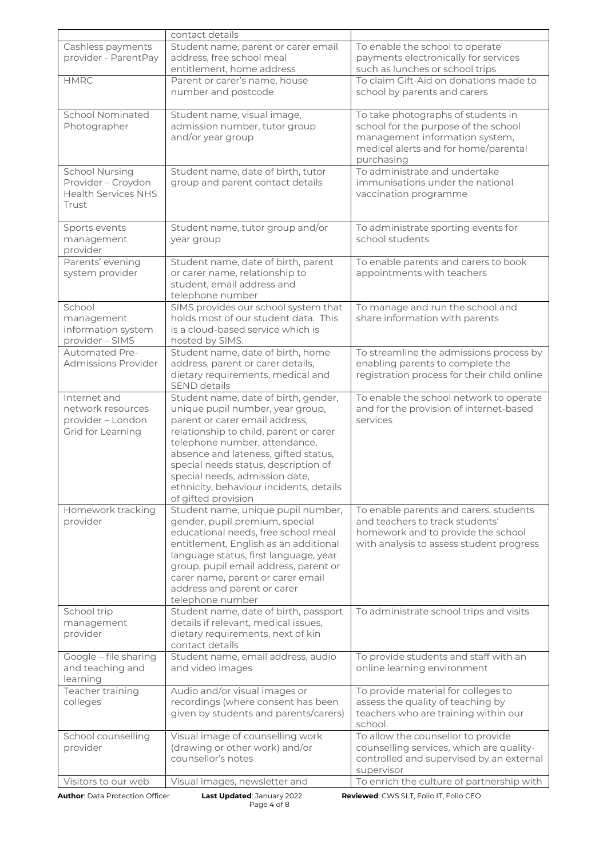|                                                                                    | contact details                                                                                                                                                                                                                                                                                                                                                           |                                                                                                                                                                    |
|------------------------------------------------------------------------------------|---------------------------------------------------------------------------------------------------------------------------------------------------------------------------------------------------------------------------------------------------------------------------------------------------------------------------------------------------------------------------|--------------------------------------------------------------------------------------------------------------------------------------------------------------------|
| Cashless payments<br>provider - ParentPay                                          | Student name, parent or carer email<br>address, free school meal<br>entitlement, home address                                                                                                                                                                                                                                                                             | To enable the school to operate<br>payments electronically for services<br>such as lunches or school trips                                                         |
| <b>HMRC</b>                                                                        | Parent or carer's name, house<br>number and postcode                                                                                                                                                                                                                                                                                                                      | To claim Gift-Aid on donations made to<br>school by parents and carers                                                                                             |
| <b>School Nominated</b><br>Photographer                                            | Student name, visual image,<br>admission number, tutor group<br>and/or year group                                                                                                                                                                                                                                                                                         | To take photographs of students in<br>school for the purpose of the school<br>management information system,<br>medical alerts and for home/parental<br>purchasing |
| <b>School Nursing</b><br>Provider - Croydon<br><b>Health Services NHS</b><br>Trust | Student name, date of birth, tutor<br>group and parent contact details                                                                                                                                                                                                                                                                                                    | To administrate and undertake<br>immunisations under the national<br>vaccination programme                                                                         |
| Sports events<br>management<br>provider                                            | Student name, tutor group and/or<br>year group                                                                                                                                                                                                                                                                                                                            | To administrate sporting events for<br>school students                                                                                                             |
| Parents' evening<br>system provider                                                | Student name, date of birth, parent<br>or carer name, relationship to<br>student, email address and<br>telephone number                                                                                                                                                                                                                                                   | To enable parents and carers to book<br>appointments with teachers                                                                                                 |
| School<br>management<br>information system<br>provider - SIMS                      | SIMS provides our school system that<br>holds most of our student data. This<br>is a cloud-based service which is<br>hosted by SIMS.                                                                                                                                                                                                                                      | To manage and run the school and<br>share information with parents                                                                                                 |
| <b>Automated Pre-</b><br><b>Admissions Provider</b>                                | Student name, date of birth, home<br>address, parent or carer details,<br>dietary requirements, medical and<br><b>SEND details</b>                                                                                                                                                                                                                                        | To streamline the admissions process by<br>enabling parents to complete the<br>registration process for their child online                                         |
| Internet and<br>network resources<br>provider - London<br>Grid for Learning        | Student name, date of birth, gender,<br>unique pupil number, year group,<br>parent or carer email address,<br>relationship to child, parent or carer<br>telephone number, attendance,<br>absence and lateness, gifted status,<br>special needs status, description of<br>special needs, admission date,<br>ethnicity, behaviour incidents, details<br>of gifted provision | To enable the school network to operate<br>and for the provision of internet-based<br>services                                                                     |
| Homework tracking<br>provider                                                      | Student name, unique pupil number,<br>gender, pupil premium, special<br>educational needs, free school meal<br>entitlement, English as an additional<br>language status, first language, year<br>group, pupil email address, parent or<br>carer name, parent or carer email<br>address and parent or carer<br>telephone number                                            | To enable parents and carers, students<br>and teachers to track students'<br>homework and to provide the school<br>with analysis to assess student progress        |
| School trip<br>management<br>provider                                              | Student name, date of birth, passport<br>details if relevant, medical issues,<br>dietary requirements, next of kin<br>contact details                                                                                                                                                                                                                                     | To administrate school trips and visits                                                                                                                            |
| Google - file sharing<br>and teaching and<br>learning                              | Student name, email address, audio<br>and video images                                                                                                                                                                                                                                                                                                                    | To provide students and staff with an<br>online learning environment                                                                                               |
| Teacher training<br>colleges                                                       | Audio and/or visual images or<br>recordings (where consent has been<br>given by students and parents/carers)                                                                                                                                                                                                                                                              | To provide material for colleges to<br>assess the quality of teaching by<br>teachers who are training within our<br>school.                                        |
| School counselling<br>provider                                                     | Visual image of counselling work<br>(drawing or other work) and/or<br>counsellor's notes                                                                                                                                                                                                                                                                                  | To allow the counsellor to provide<br>counselling services, which are quality-<br>controlled and supervised by an external<br>supervisor                           |
| Visitors to our web                                                                | Visual images, newsletter and                                                                                                                                                                                                                                                                                                                                             | To enrich the culture of partnership with                                                                                                                          |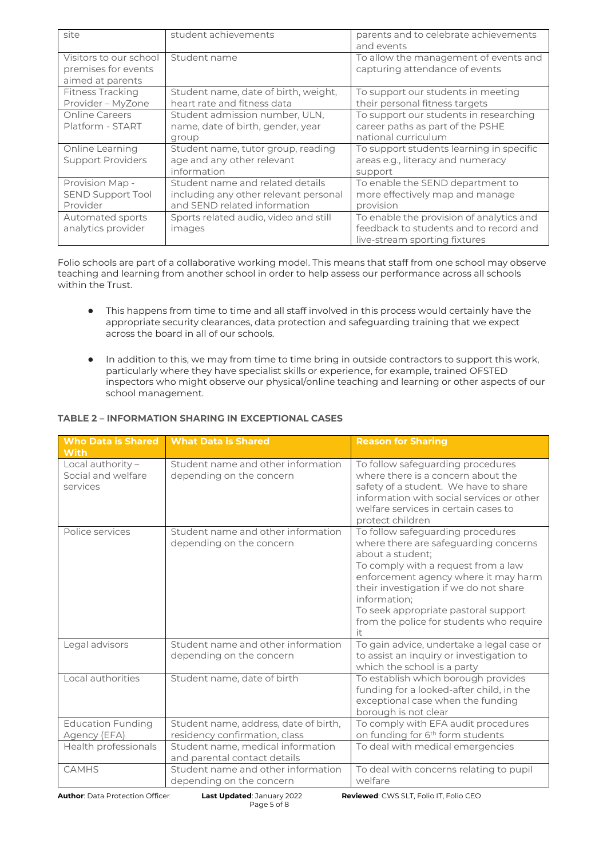| site                                                              | student achievements                                                                                      | parents and to celebrate achievements<br>and events                                                                 |
|-------------------------------------------------------------------|-----------------------------------------------------------------------------------------------------------|---------------------------------------------------------------------------------------------------------------------|
| Visitors to our school<br>premises for events<br>aimed at parents | Student name                                                                                              | To allow the management of events and<br>capturing attendance of events                                             |
| <b>Fitness Tracking</b><br>Provider - MyZone                      | Student name, date of birth, weight,<br>heart rate and fitness data                                       | To support our students in meeting<br>their personal fitness targets                                                |
| <b>Online Careers</b><br>Platform - START                         | Student admission number, ULN,<br>name, date of birth, gender, year<br>group                              | To support our students in researching<br>career paths as part of the PSHE<br>national curriculum                   |
| Online Learning<br><b>Support Providers</b>                       | Student name, tutor group, reading<br>age and any other relevant<br>information                           | To support students learning in specific<br>areas e.g., literacy and numeracy<br>support                            |
| Provision Map -<br><b>SEND Support Tool</b><br>Provider           | Student name and related details<br>including any other relevant personal<br>and SEND related information | To enable the SEND department to<br>more effectively map and manage<br>provision                                    |
| Automated sports<br>analytics provider                            | Sports related audio, video and still<br>images                                                           | To enable the provision of analytics and<br>feedback to students and to record and<br>live-stream sporting fixtures |

Folio schools are part of a collaborative working model. This means that staff from one school may observe teaching and learning from another school in order to help assess our performance across all schools within the Trust.

- This happens from time to time and all staff involved in this process would certainly have the appropriate security clearances, data protection and safeguarding training that we expect across the board in all of our schools.
- In addition to this, we may from time to time bring in outside contractors to support this work, particularly where they have specialist skills or experience, for example, trained OFSTED inspectors who might observe our physical/online teaching and learning or other aspects of our school management.

| <b>Who Data is Shared</b><br><b>With</b>            | <b>What Data is Shared</b>                                        | <b>Reason for Sharing</b>                                                                                                                                                                                                                                                                                                         |
|-----------------------------------------------------|-------------------------------------------------------------------|-----------------------------------------------------------------------------------------------------------------------------------------------------------------------------------------------------------------------------------------------------------------------------------------------------------------------------------|
| Local authority -<br>Social and welfare<br>services | Student name and other information<br>depending on the concern    | To follow safeguarding procedures<br>where there is a concern about the<br>safety of a student. We have to share<br>information with social services or other<br>welfare services in certain cases to<br>protect children                                                                                                         |
| Police services                                     | Student name and other information<br>depending on the concern    | To follow safeguarding procedures<br>where there are safeguarding concerns<br>about a student;<br>To comply with a request from a law<br>enforcement agency where it may harm<br>their investigation if we do not share<br>information;<br>To seek appropriate pastoral support<br>from the police for students who require<br>it |
| Legal advisors                                      | Student name and other information<br>depending on the concern    | To gain advice, undertake a legal case or<br>to assist an inquiry or investigation to<br>which the school is a party                                                                                                                                                                                                              |
| Local authorities                                   | Student name, date of birth                                       | To establish which borough provides<br>funding for a looked-after child, in the<br>exceptional case when the funding<br>borough is not clear                                                                                                                                                                                      |
| <b>Education Funding</b>                            | Student name, address, date of birth,                             | To comply with EFA audit procedures                                                                                                                                                                                                                                                                                               |
| Agency (EFA)                                        | residency confirmation, class                                     | on funding for 6 <sup>th</sup> form students                                                                                                                                                                                                                                                                                      |
| Health professionals                                | Student name, medical information<br>and parental contact details | To deal with medical emergencies                                                                                                                                                                                                                                                                                                  |
| <b>CAMHS</b>                                        | Student name and other information<br>depending on the concern    | To deal with concerns relating to pupil<br>welfare                                                                                                                                                                                                                                                                                |

## **TABLE 2 – INFORMATION SHARING IN EXCEPTIONAL CASES**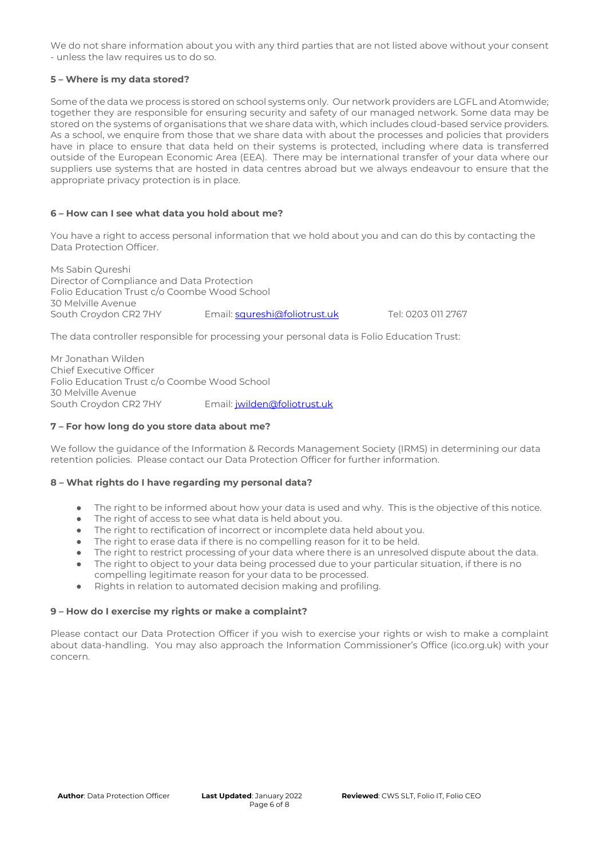We do not share information about you with any third parties that are not listed above without your consent - unless the law requires us to do so.

## **5 – Where is my data stored?**

Some of the data we process is stored on school systems only. Our network providers are LGFL and Atomwide; together they are responsible for ensuring security and safety of our managed network. Some data may be stored on the systems of organisations that we share data with, which includes cloud-based service providers. As a school, we enquire from those that we share data with about the processes and policies that providers have in place to ensure that data held on their systems is protected, including where data is transferred outside of the European Economic Area (EEA). There may be international transfer of your data where our suppliers use systems that are hosted in data centres abroad but we always endeavour to ensure that the appropriate privacy protection is in place.

## **6 – How can I see what data you hold about me?**

You have a right to access personal information that we hold about you and can do this by contacting the Data Protection Officer.

Ms Sabin Qureshi Director of Compliance and Data Protection Folio Education Trust c/o Coombe Wood School 30 Melville Avenue South Croydon CR2 7HY Email[: squreshi@foliotrust.uk](mailto:squreshi@foliotrust.uk) Tel: 0203 011 2767

The data controller responsible for processing your personal data is Folio Education Trust:

Mr Jonathan Wilden Chief Executive Officer Folio Education Trust c/o Coombe Wood School 30 Melville Avenue South Croydon CR2 7HY Email[: jwilden@foliotrust.uk](mailto:jwilden@foliotrust.uk)

### **7 – For how long do you store data about me?**

We follow the guidance of the Information & Records Management Society (IRMS) in determining our data retention policies. Please contact our Data Protection Officer for further information.

### **8 – What rights do I have regarding my personal data?**

- The right to be informed about how your data is used and why. This is the objective of this notice.
- The right of access to see what data is held about you.
- The right to rectification of incorrect or incomplete data held about you.
- The right to erase data if there is no compelling reason for it to be held.
- The right to restrict processing of your data where there is an unresolved dispute about the data.
- The right to object to your data being processed due to your particular situation, if there is no compelling legitimate reason for your data to be processed.
- Rights in relation to automated decision making and profiling.

### **9 – How do I exercise my rights or make a complaint?**

Please contact our Data Protection Officer if you wish to exercise your rights or wish to make a complaint about data-handling. You may also approach the Information Commissioner's Office (ico.org.uk) with your concern.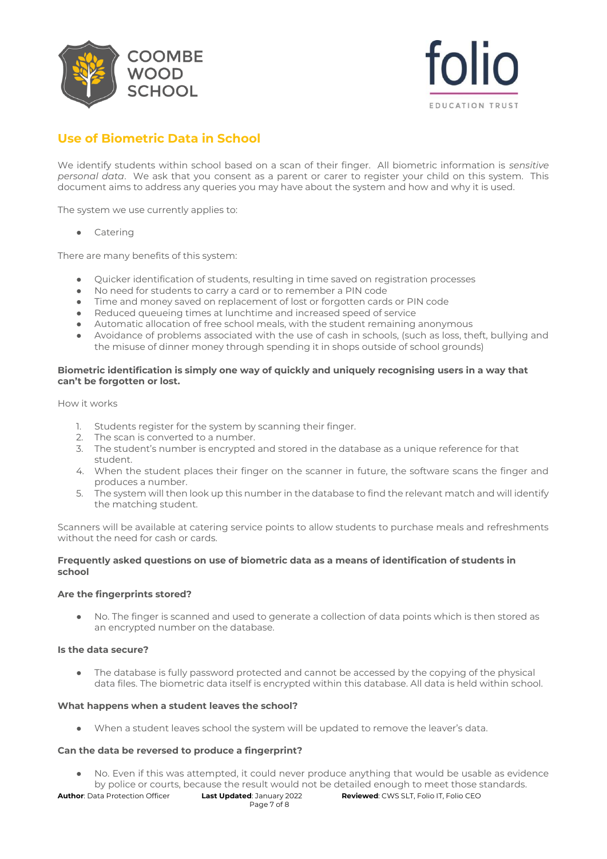



# **Use of Biometric Data in School**

We identify students within school based on a scan of their finger. All biometric information is *sensitive personal data*. We ask that you consent as a parent or carer to register your child on this system. This document aims to address any queries you may have about the system and how and why it is used.

The system we use currently applies to:

Catering

There are many benefits of this system:

- Quicker identification of students, resulting in time saved on registration processes
- No need for students to carry a card or to remember a PIN code
- Time and money saved on replacement of lost or forgotten cards or PIN code
- Reduced queueing times at lunchtime and increased speed of service
- Automatic allocation of free school meals, with the student remaining anonymous
- Avoidance of problems associated with the use of cash in schools, (such as loss, theft, bullying and the misuse of dinner money through spending it in shops outside of school grounds)

## **Biometric identification is simply one way of quickly and uniquely recognising users in a way that can't be forgotten or lost.**

How it works

- 1. Students register for the system by scanning their finger.
- 2. The scan is converted to a number.
- 3. The student's number is encrypted and stored in the database as a unique reference for that student.
- 4. When the student places their finger on the scanner in future, the software scans the finger and produces a number.
- 5. The system will then look up this number in the database to find the relevant match and will identify the matching student.

Scanners will be available at catering service points to allow students to purchase meals and refreshments without the need for cash or cards.

### **Frequently asked questions on use of biometric data as a means of identification of students in school**

### **Are the fingerprints stored?**

● No. The finger is scanned and used to generate a collection of data points which is then stored as an encrypted number on the database.

### **Is the data secure?**

• The database is fully password protected and cannot be accessed by the copying of the physical data files. The biometric data itself is encrypted within this database. All data is held within school.

### **What happens when a student leaves the school?**

● When a student leaves school the system will be updated to remove the leaver's data.

### **Can the data be reversed to produce a fingerprint?**

No. Even if this was attempted, it could never produce anything that would be usable as evidence by police or courts, because the result would not be detailed enough to meet those standards.

**Author**: Data Protection Officer **Last Updated**: January 2022 **Reviewed**: CWS SLT, Folio IT, Folio CEO Page 7 of 8